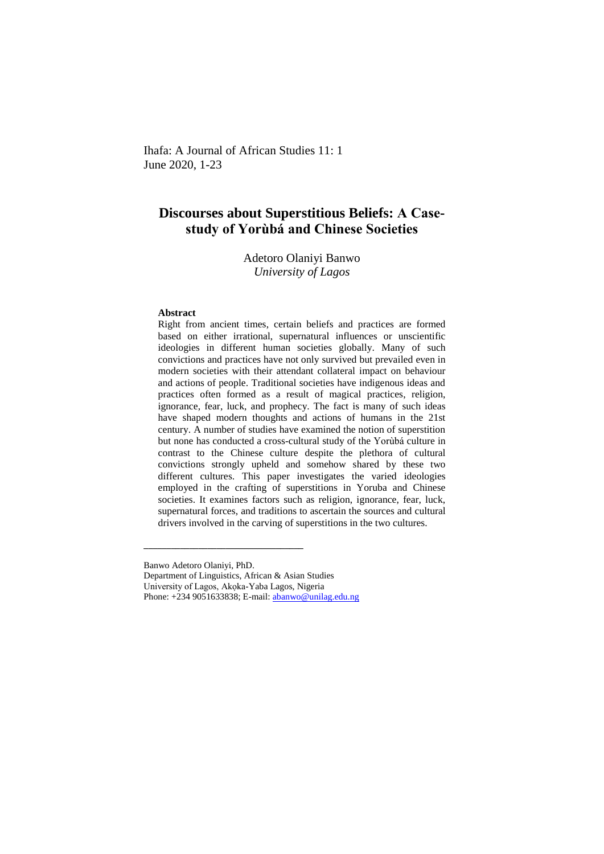Ihafa: A Journal of African Studies 11: 1 June 2020, 1-23

# **Discourses about Superstitious Beliefs: A Casestudy of Yorùbá and Chinese Societies**

## Adetoro Olaniyi Banwo *University of Lagos*

#### **Abstract**

Right from ancient times, certain beliefs and practices are formed based on either irrational, supernatural influences or unscientific ideologies in different human societies globally. Many of such convictions and practices have not only survived but prevailed even in modern societies with their attendant collateral impact on behaviour and actions of people. Traditional societies have indigenous ideas and practices often formed as a result of magical practices, religion, ignorance, fear, luck, and prophecy. The fact is many of such ideas have shaped modern thoughts and actions of humans in the 21st century. A number of studies have examined the notion of superstition but none has conducted a cross-cultural study of the Yorùbá culture in contrast to the Chinese culture despite the plethora of cultural convictions strongly upheld and somehow shared by these two different cultures. This paper investigates the varied ideologies employed in the crafting of superstitions in Yoruba and Chinese societies. It examines factors such as religion, ignorance, fear, luck, supernatural forces, and traditions to ascertain the sources and cultural drivers involved in the carving of superstitions in the two cultures.

Banwo Adetoro Olaniyi, PhD.

Department of Linguistics, African & Asian Studies

**\_\_\_\_\_\_\_\_\_\_\_\_\_\_\_\_\_\_\_\_\_\_\_\_\_\_\_\_\_\_\_\_\_\_\_**

University of Lagos, Akọka-Yaba Lagos, Nigeria

Phone: +234 9051633838; E-mail: [abanwo@unilag.edu.ng](mailto:abanwo@unilag.edu.ng)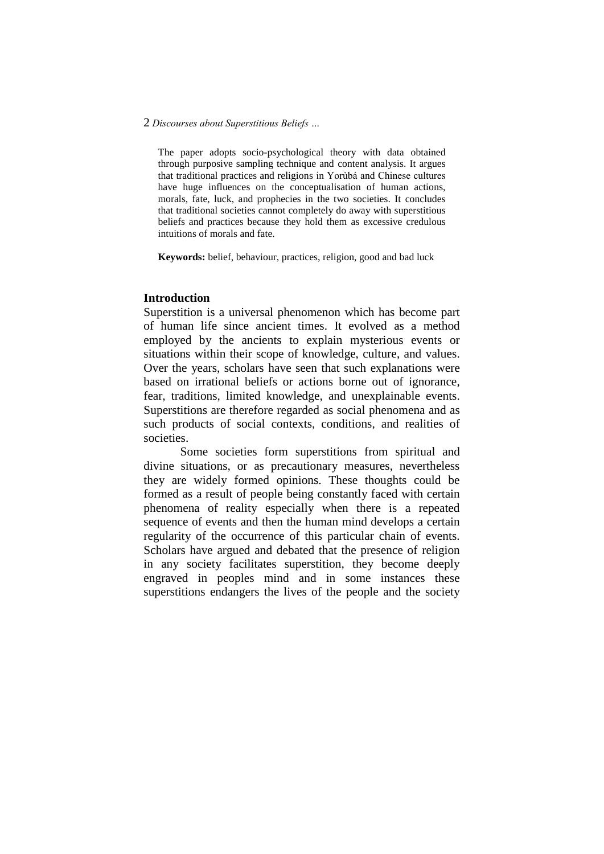The paper adopts socio-psychological theory with data obtained through purposive sampling technique and content analysis. It argues that traditional practices and religions in Yorùbá and Chinese cultures have huge influences on the conceptualisation of human actions, morals, fate, luck, and prophecies in the two societies. It concludes that traditional societies cannot completely do away with superstitious beliefs and practices because they hold them as excessive credulous intuitions of morals and fate.

**Keywords:** belief, behaviour, practices, religion, good and bad luck

### **Introduction**

Superstition is a universal phenomenon which has become part of human life since ancient times. It evolved as a method employed by the ancients to explain mysterious events or situations within their scope of knowledge, culture, and values. Over the years, scholars have seen that such explanations were based on irrational beliefs or actions borne out of ignorance, fear, traditions, limited knowledge, and unexplainable events. Superstitions are therefore regarded as social phenomena and as such products of social contexts, conditions, and realities of societies.

Some societies form superstitions from spiritual and divine situations, or as precautionary measures, nevertheless they are widely formed opinions. These thoughts could be formed as a result of people being constantly faced with certain phenomena of reality especially when there is a repeated sequence of events and then the human mind develops a certain regularity of the occurrence of this particular chain of events. Scholars have argued and debated that the presence of religion in any society facilitates superstition, they become deeply engraved in peoples mind and in some instances these superstitions endangers the lives of the people and the society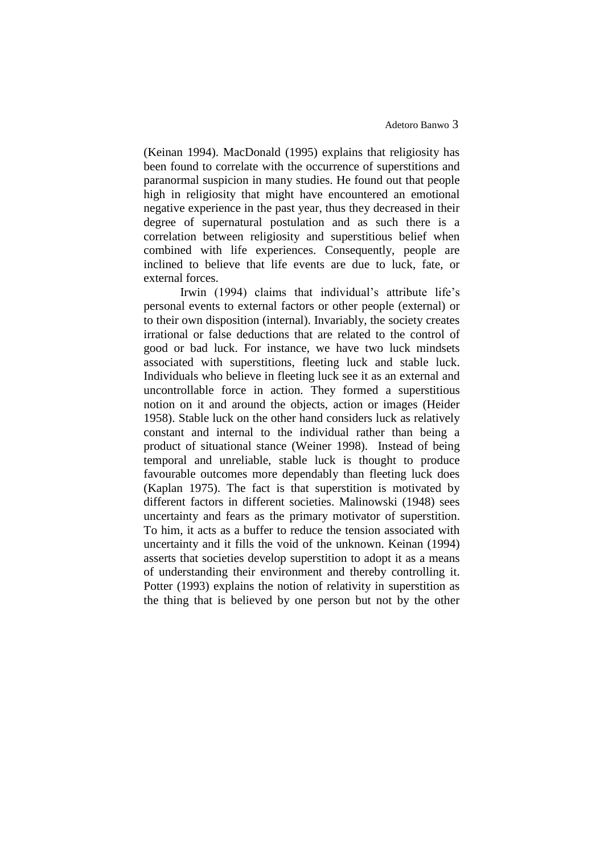(Keinan 1994). MacDonald (1995) explains that religiosity has been found to correlate with the occurrence of superstitions and paranormal suspicion in many studies. He found out that people high in religiosity that might have encountered an emotional negative experience in the past year, thus they decreased in their degree of supernatural postulation and as such there is a correlation between religiosity and superstitious belief when combined with life experiences. Consequently, people are inclined to believe that life events are due to luck, fate, or external forces.

Irwin (1994) claims that individual's attribute life's personal events to external factors or other people (external) or to their own disposition (internal). Invariably, the society creates irrational or false deductions that are related to the control of good or bad luck. For instance, we have two luck mindsets associated with superstitions, fleeting luck and stable luck. Individuals who believe in fleeting luck see it as an external and uncontrollable force in action. They formed a superstitious notion on it and around the objects, action or images (Heider 1958). Stable luck on the other hand considers luck as relatively constant and internal to the individual rather than being a product of situational stance (Weiner 1998). Instead of being temporal and unreliable, stable luck is thought to produce favourable outcomes more dependably than fleeting luck does (Kaplan 1975). The fact is that superstition is motivated by different factors in different societies. Malinowski (1948) sees uncertainty and fears as the primary motivator of superstition. To him, it acts as a buffer to reduce the tension associated with uncertainty and it fills the void of the unknown. Keinan (1994) asserts that societies develop superstition to adopt it as a means of understanding their environment and thereby controlling it. Potter (1993) explains the notion of relativity in superstition as the thing that is believed by one person but not by the other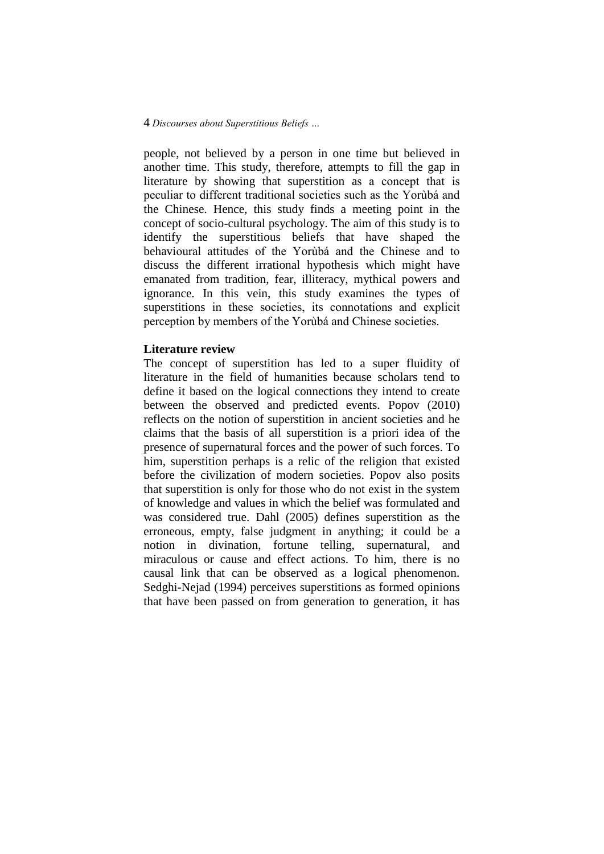people, not believed by a person in one time but believed in another time. This study, therefore, attempts to fill the gap in literature by showing that superstition as a concept that is peculiar to different traditional societies such as the Yorùbá and the Chinese. Hence, this study finds a meeting point in the concept of socio-cultural psychology. The aim of this study is to identify the superstitious beliefs that have shaped the behavioural attitudes of the Yorùbá and the Chinese and to discuss the different irrational hypothesis which might have emanated from tradition, fear, illiteracy, mythical powers and ignorance. In this vein, this study examines the types of superstitions in these societies, its connotations and explicit perception by members of the Yorùbá and Chinese societies.

### **Literature review**

The concept of superstition has led to a super fluidity of literature in the field of humanities because scholars tend to define it based on the logical connections they intend to create between the observed and predicted events. Popov (2010) reflects on the notion of superstition in ancient societies and he claims that the basis of all superstition is a priori idea of the presence of supernatural forces and the power of such forces. To him, superstition perhaps is a relic of the religion that existed before the civilization of modern societies. Popov also posits that superstition is only for those who do not exist in the system of knowledge and values in which the belief was formulated and was considered true. Dahl (2005) defines superstition as the erroneous, empty, false judgment in anything; it could be a notion in divination, fortune telling, supernatural, and miraculous or cause and effect actions. To him, there is no causal link that can be observed as a logical phenomenon. Sedghi-Nejad (1994) perceives superstitions as formed opinions that have been passed on from generation to generation, it has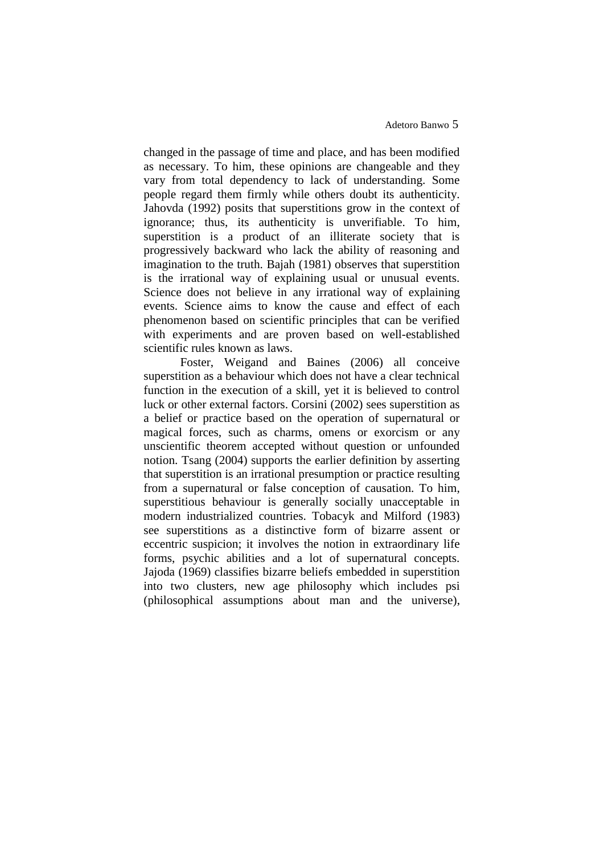changed in the passage of time and place, and has been modified as necessary. To him, these opinions are changeable and they vary from total dependency to lack of understanding. Some people regard them firmly while others doubt its authenticity. Jahovda (1992) posits that superstitions grow in the context of ignorance; thus, its authenticity is unverifiable. To him, superstition is a product of an illiterate society that is progressively backward who lack the ability of reasoning and imagination to the truth. Bajah (1981) observes that superstition is the irrational way of explaining usual or unusual events. Science does not believe in any irrational way of explaining events. Science aims to know the cause and effect of each phenomenon based on scientific principles that can be verified with experiments and are proven based on well-established scientific rules known as laws.

Foster, Weigand and Baines (2006) all conceive superstition as a behaviour which does not have a clear technical function in the execution of a skill, yet it is believed to control luck or other external factors. Corsini (2002) sees superstition as a belief or practice based on the operation of supernatural or magical forces, such as charms, omens or exorcism or any unscientific theorem accepted without question or unfounded notion. Tsang (2004) supports the earlier definition by asserting that superstition is an irrational presumption or practice resulting from a supernatural or false conception of causation. To him, superstitious behaviour is generally socially unacceptable in modern industrialized countries. Tobacyk and Milford (1983) see superstitions as a distinctive form of bizarre assent or eccentric suspicion; it involves the notion in extraordinary life forms, psychic abilities and a lot of supernatural concepts. Jajoda (1969) classifies bizarre beliefs embedded in superstition into two clusters, new age philosophy which includes psi (philosophical assumptions about man and the universe),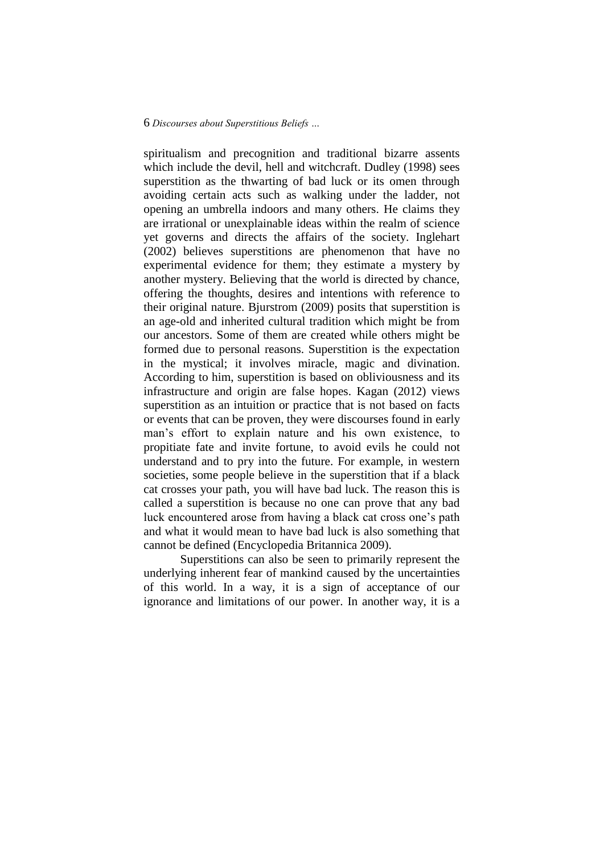spiritualism and precognition and traditional bizarre assents which include the devil, hell and witchcraft. Dudley (1998) sees superstition as the thwarting of bad luck or its omen through avoiding certain acts such as walking under the ladder, not opening an umbrella indoors and many others. He claims they are irrational or unexplainable ideas within the realm of science yet governs and directs the affairs of the society. Inglehart (2002) believes superstitions are phenomenon that have no experimental evidence for them; they estimate a mystery by another mystery. Believing that the world is directed by chance, offering the thoughts, desires and intentions with reference to their original nature. Bjurstrom (2009) posits that superstition is an age-old and inherited cultural tradition which might be from our ancestors. Some of them are created while others might be formed due to personal reasons. Superstition is the expectation in the mystical; it involves miracle, magic and divination. According to him, superstition is based on obliviousness and its infrastructure and origin are false hopes. Kagan (2012) views superstition as an intuition or practice that is not based on facts or events that can be proven, they were discourses found in early man's effort to explain nature and his own existence, to propitiate fate and invite fortune, to avoid evils he could not understand and to pry into the future. For example, in western societies, some people believe in the superstition that if a black cat crosses your path, you will have bad luck. The reason this is called a superstition is because no one can prove that any bad luck encountered arose from having a black cat cross one's path and what it would mean to have bad luck is also something that cannot be defined (Encyclopedia Britannica 2009).

Superstitions can also be seen to primarily represent the underlying inherent fear of mankind caused by the uncertainties of this world. In a way, it is a sign of acceptance of our ignorance and limitations of our power. In another way, it is a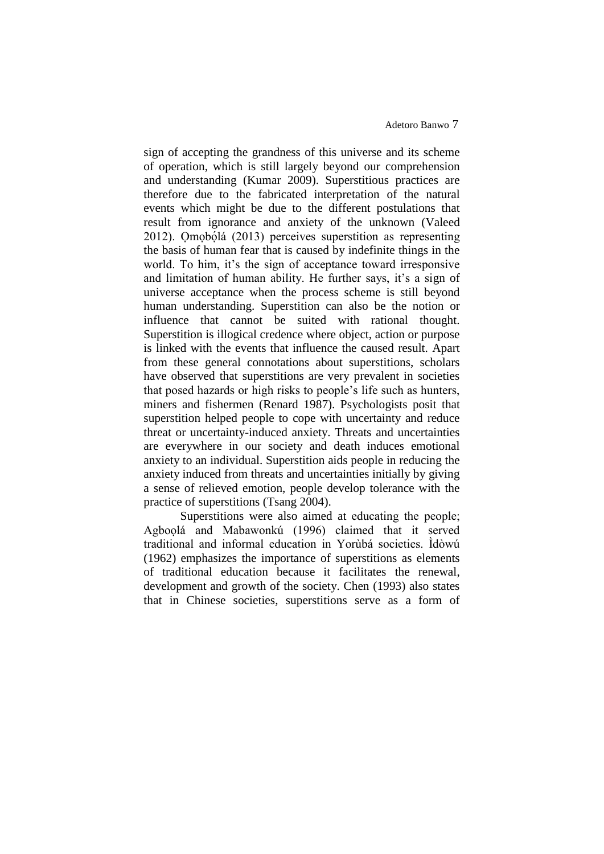sign of accepting the grandness of this universe and its scheme of operation, which is still largely beyond our comprehension and understanding (Kumar 2009). Superstitious practices are therefore due to the fabricated interpretation of the natural events which might be due to the different postulations that result from ignorance and anxiety of the unknown (Valeed 2012). Omobólá (2013) perceives superstition as representing the basis of human fear that is caused by indefinite things in the world. To him, it's the sign of acceptance toward irresponsive and limitation of human ability. He further says, it's a sign of universe acceptance when the process scheme is still beyond human understanding. Superstition can also be the notion or influence that cannot be suited with rational thought. Superstition is illogical credence where object, action or purpose is linked with the events that influence the caused result. Apart from these general connotations about superstitions, scholars have observed that superstitions are very prevalent in societies that posed hazards or high risks to people's life such as hunters, miners and fishermen (Renard 1987). Psychologists posit that superstition helped people to cope with uncertainty and reduce threat or uncertainty-induced anxiety. Threats and uncertainties are everywhere in our society and death induces emotional anxiety to an individual. Superstition aids people in reducing the anxiety induced from threats and uncertainties initially by giving a sense of relieved emotion, people develop tolerance with the practice of superstitions (Tsang 2004).

Superstitions were also aimed at educating the people; Agboọlá and Mabawonkú (1996) claimed that it served traditional and informal education in Yorùbá societies. Ìdòwú (1962) emphasizes the importance of superstitions as elements of traditional education because it facilitates the renewal, development and growth of the society. Chen (1993) also states that in Chinese societies, superstitions serve as a form of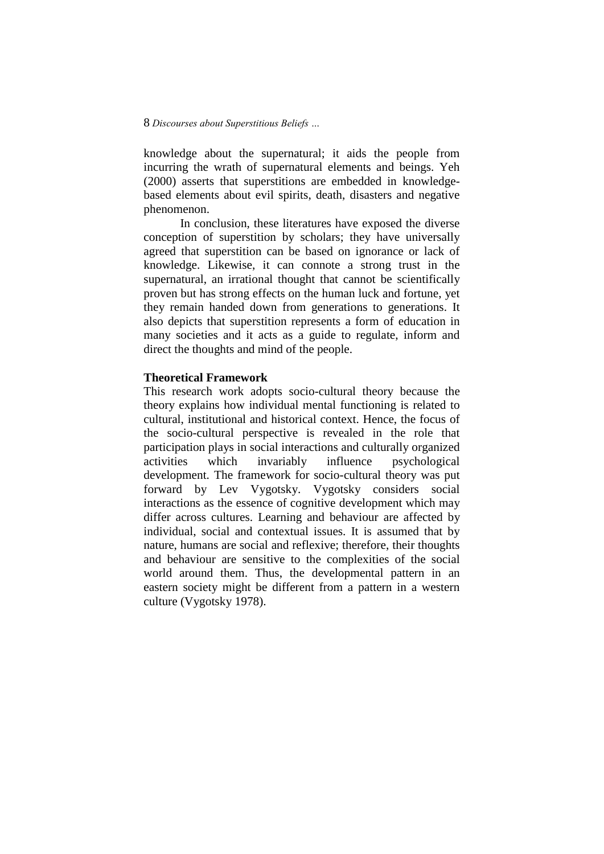knowledge about the supernatural; it aids the people from incurring the wrath of supernatural elements and beings. Yeh (2000) asserts that superstitions are embedded in knowledgebased elements about evil spirits, death, disasters and negative phenomenon.

In conclusion, these literatures have exposed the diverse conception of superstition by scholars; they have universally agreed that superstition can be based on ignorance or lack of knowledge. Likewise, it can connote a strong trust in the supernatural, an irrational thought that cannot be scientifically proven but has strong effects on the human luck and fortune, yet they remain handed down from generations to generations. It also depicts that superstition represents a form of education in many societies and it acts as a guide to regulate, inform and direct the thoughts and mind of the people.

### **Theoretical Framework**

This research work adopts socio-cultural theory because the theory explains how individual mental functioning is related to cultural, institutional and historical context. Hence, the focus of the socio-cultural perspective is revealed in the role that participation plays in social interactions and culturally organized activities which invariably influence psychological development. The framework for socio-cultural theory was put forward by Lev Vygotsky. Vygotsky considers social interactions as the essence of cognitive development which may differ across cultures. Learning and behaviour are affected by individual, social and contextual issues. It is assumed that by nature, humans are social and reflexive; therefore, their thoughts and behaviour are sensitive to the complexities of the social world around them. Thus, the developmental pattern in an eastern society might be different from a pattern in a western culture (Vygotsky 1978).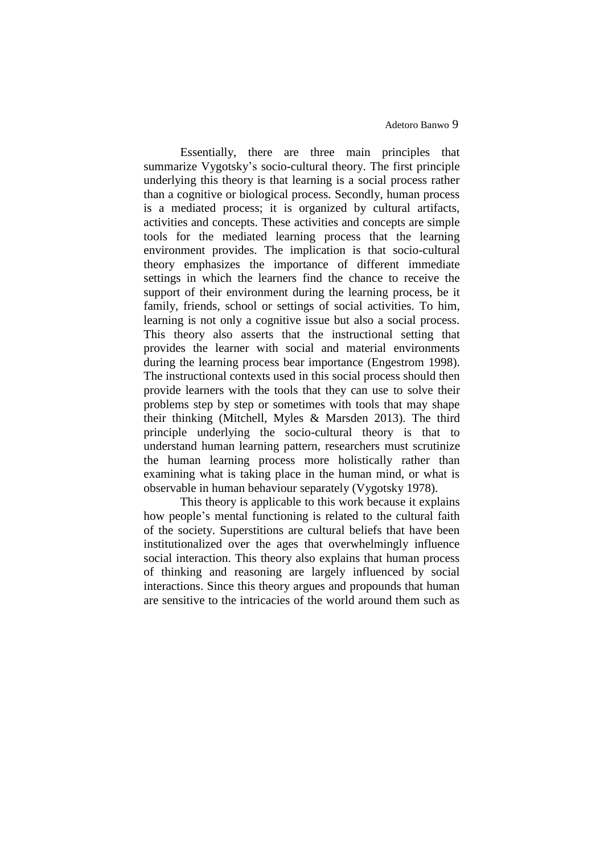Essentially, there are three main principles that summarize Vygotsky's socio-cultural theory. The first principle underlying this theory is that learning is a social process rather than a cognitive or biological process. Secondly, human process is a mediated process; it is organized by cultural artifacts, activities and concepts. These activities and concepts are simple tools for the mediated learning process that the learning environment provides. The implication is that socio-cultural theory emphasizes the importance of different immediate settings in which the learners find the chance to receive the support of their environment during the learning process, be it family, friends, school or settings of social activities. To him, learning is not only a cognitive issue but also a social process. This theory also asserts that the instructional setting that provides the learner with social and material environments during the learning process bear importance (Engestrom 1998). The instructional contexts used in this social process should then provide learners with the tools that they can use to solve their problems step by step or sometimes with tools that may shape their thinking (Mitchell, Myles & Marsden 2013). The third principle underlying the socio-cultural theory is that to understand human learning pattern, researchers must scrutinize the human learning process more holistically rather than examining what is taking place in the human mind, or what is observable in human behaviour separately (Vygotsky 1978).

This theory is applicable to this work because it explains how people's mental functioning is related to the cultural faith of the society. Superstitions are cultural beliefs that have been institutionalized over the ages that overwhelmingly influence social interaction. This theory also explains that human process of thinking and reasoning are largely influenced by social interactions. Since this theory argues and propounds that human are sensitive to the intricacies of the world around them such as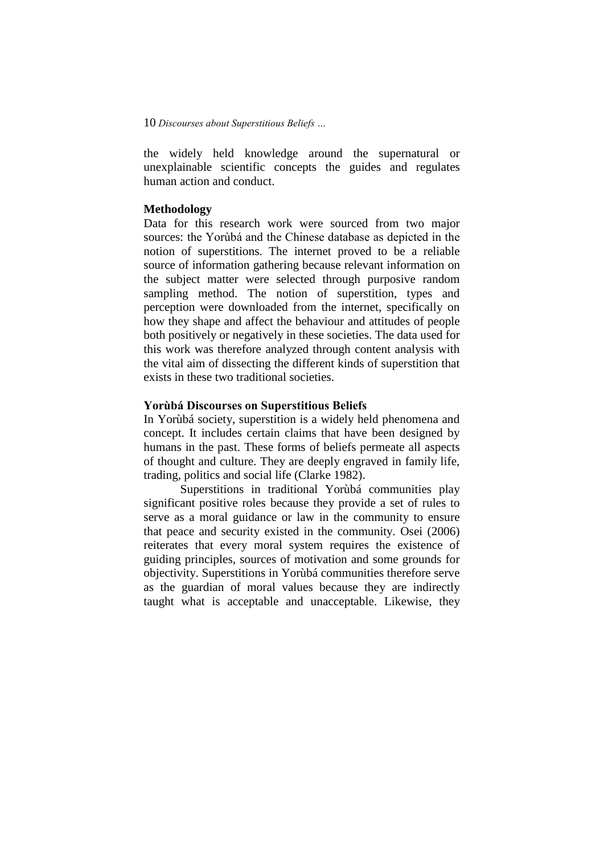the widely held knowledge around the supernatural or unexplainable scientific concepts the guides and regulates human action and conduct.

## **Methodology**

Data for this research work were sourced from two major sources: the Yorùbá and the Chinese database as depicted in the notion of superstitions. The internet proved to be a reliable source of information gathering because relevant information on the subject matter were selected through purposive random sampling method. The notion of superstition, types and perception were downloaded from the internet, specifically on how they shape and affect the behaviour and attitudes of people both positively or negatively in these societies. The data used for this work was therefore analyzed through content analysis with the vital aim of dissecting the different kinds of superstition that exists in these two traditional societies.

# **Yorùbá Discourses on Superstitious Beliefs**

In Yorùbá society, superstition is a widely held phenomena and concept. It includes certain claims that have been designed by humans in the past. These forms of beliefs permeate all aspects of thought and culture. They are deeply engraved in family life, trading, politics and social life (Clarke 1982).

Superstitions in traditional Yorùbá communities play significant positive roles because they provide a set of rules to serve as a moral guidance or law in the community to ensure that peace and security existed in the community. Osei (2006) reiterates that every moral system requires the existence of guiding principles, sources of motivation and some grounds for objectivity. Superstitions in Yorùbá communities therefore serve as the guardian of moral values because they are indirectly taught what is acceptable and unacceptable. Likewise, they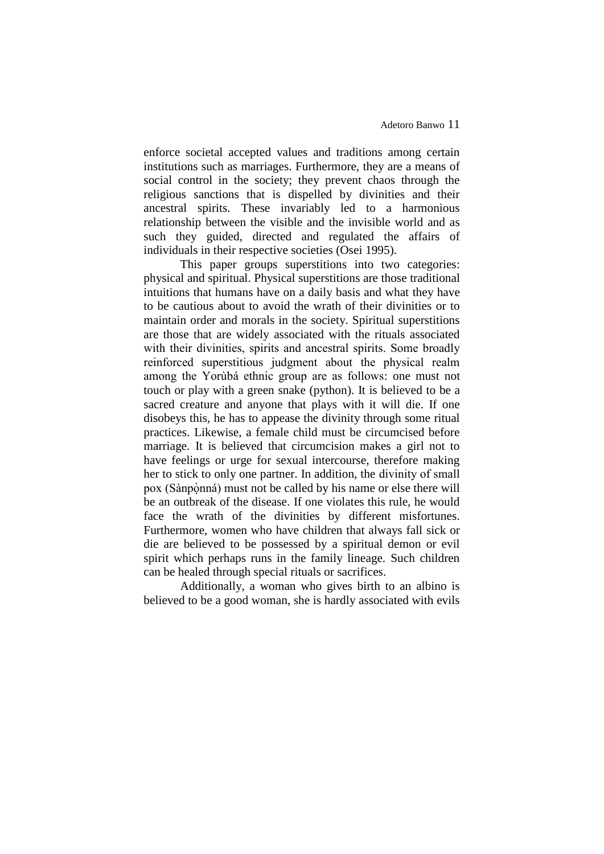enforce societal accepted values and traditions among certain institutions such as marriages. Furthermore, they are a means of social control in the society; they prevent chaos through the religious sanctions that is dispelled by divinities and their ancestral spirits. These invariably led to a harmonious relationship between the visible and the invisible world and as such they guided, directed and regulated the affairs of individuals in their respective societies (Osei 1995).

This paper groups superstitions into two categories: physical and spiritual. Physical superstitions are those traditional intuitions that humans have on a daily basis and what they have to be cautious about to avoid the wrath of their divinities or to maintain order and morals in the society. Spiritual superstitions are those that are widely associated with the rituals associated with their divinities, spirits and ancestral spirits. Some broadly reinforced superstitious judgment about the physical realm among the Yorùbá ethnic group are as follows: one must not touch or play with a green snake (python). It is believed to be a sacred creature and anyone that plays with it will die. If one disobeys this, he has to appease the divinity through some ritual practices. Likewise, a female child must be circumcised before marriage. It is believed that circumcision makes a girl not to have feelings or urge for sexual intercourse, therefore making her to stick to only one partner. In addition, the divinity of small pox (Sànpònná) must not be called by his name or else there will be an outbreak of the disease. If one violates this rule, he would face the wrath of the divinities by different misfortunes. Furthermore, women who have children that always fall sick or die are believed to be possessed by a spiritual demon or evil spirit which perhaps runs in the family lineage. Such children can be healed through special rituals or sacrifices.

Additionally, a woman who gives birth to an albino is believed to be a good woman, she is hardly associated with evils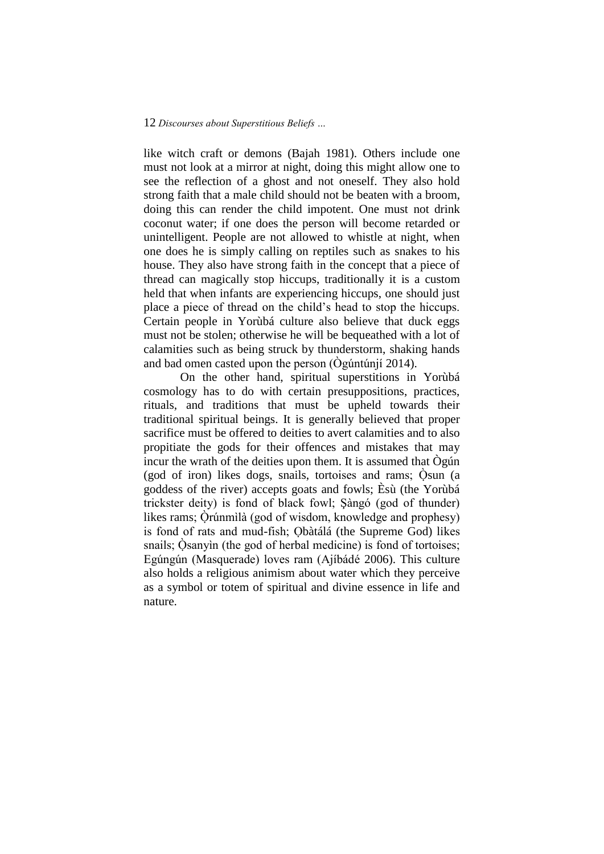like witch craft or demons (Bajah 1981). Others include one must not look at a mirror at night, doing this might allow one to see the reflection of a ghost and not oneself. They also hold strong faith that a male child should not be beaten with a broom, doing this can render the child impotent. One must not drink coconut water; if one does the person will become retarded or unintelligent. People are not allowed to whistle at night, when one does he is simply calling on reptiles such as snakes to his house. They also have strong faith in the concept that a piece of thread can magically stop hiccups, traditionally it is a custom held that when infants are experiencing hiccups, one should just place a piece of thread on the child's head to stop the hiccups. Certain people in Yorùbá culture also believe that duck eggs must not be stolen; otherwise he will be bequeathed with a lot of calamities such as being struck by thunderstorm, shaking hands and bad omen casted upon the person (Ògúntúnjí 2014).

On the other hand, spiritual superstitions in Yorùbá cosmology has to do with certain presuppositions, practices, rituals, and traditions that must be upheld towards their traditional spiritual beings. It is generally believed that proper sacrifice must be offered to deities to avert calamities and to also propitiate the gods for their offences and mistakes that may incur the wrath of the deities upon them. It is assumed that Ògún (god of iron) likes dogs, snails, tortoises and rams; Òsun (a ̣́ goddess of the river) accepts goats and fowls; Èsù (the Yorùbá trickster deity) is fond of black fowl; Şàngó (god of thunder) likes rams; Òrúnmìlà (god of wisdom, knowledge and prophesy) is fond of rats and mud-fish; Ọbàtálá (the Supreme God) likes snails; Osanyin (the god of herbal medicine) is fond of tortoises; Egúngún (Masquerade) loves ram (Ajíbádé 2006). This culture also holds a religious animism about water which they perceive as a symbol or totem of spiritual and divine essence in life and nature.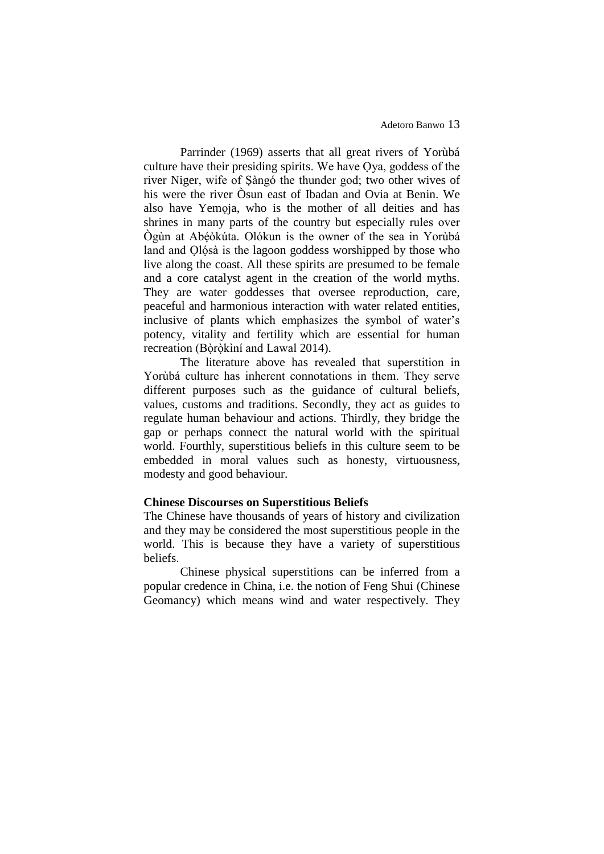Parrinder (1969) asserts that all great rivers of Yorùbá culture have their presiding spirits. We have Ọya, goddess of the river Niger, wife of Şàngó the thunder god; two other wives of his were the river Òsun east of Ibadan and Ovia at Benin. We also have Yemọja, who is the mother of all deities and has shrines in many parts of the country but especially rules over Ògùn at Abéòkúta. Olókun is the owner of the sea in Yorùbá land and Olósà is the lagoon goddess worshipped by those who live along the coast. All these spirits are presumed to be female and a core catalyst agent in the creation of the world myths. They are water goddesses that oversee reproduction, care, peaceful and harmonious interaction with water related entities, inclusive of plants which emphasizes the symbol of water's potency, vitality and fertility which are essential for human recreation (Bòròkìní and Lawal 2014).

The literature above has revealed that superstition in Yorùbá culture has inherent connotations in them. They serve different purposes such as the guidance of cultural beliefs, values, customs and traditions. Secondly, they act as guides to regulate human behaviour and actions. Thirdly, they bridge the gap or perhaps connect the natural world with the spiritual world. Fourthly, superstitious beliefs in this culture seem to be embedded in moral values such as honesty, virtuousness, modesty and good behaviour.

## **Chinese Discourses on Superstitious Beliefs**

The Chinese have thousands of years of history and civilization and they may be considered the most superstitious people in the world. This is because they have a variety of superstitious beliefs.

Chinese physical superstitions can be inferred from a popular credence in China, i.e. the notion of Feng Shui (Chinese Geomancy) which means wind and water respectively. They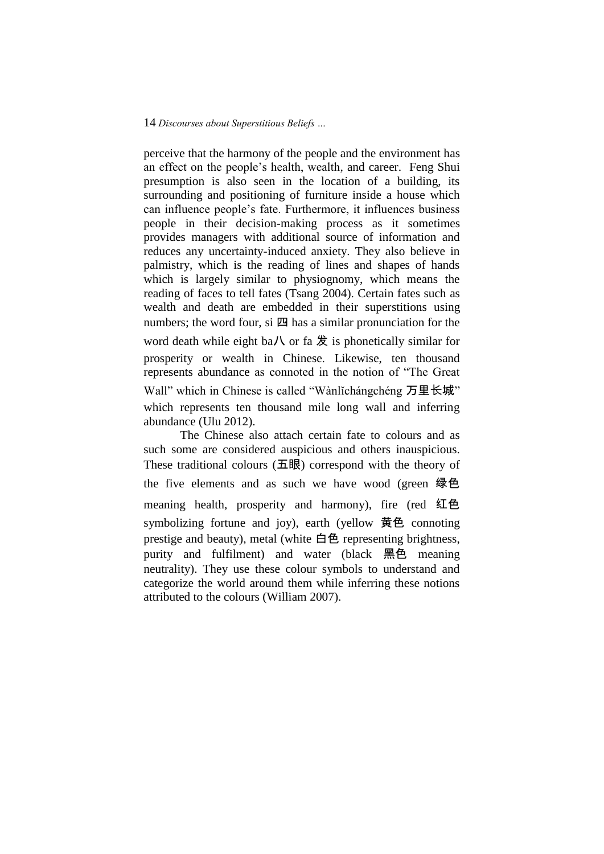perceive that the harmony of the people and the environment has an effect on the people's health, wealth, and career. Feng Shui presumption is also seen in the location of a building, its surrounding and positioning of furniture inside a house which can influence people's fate. Furthermore, it influences business people in their decision-making process as it sometimes provides managers with additional source of information and reduces any uncertainty-induced anxiety. They also believe in palmistry, which is the reading of lines and shapes of hands which is largely similar to physiognomy, which means the reading of faces to tell fates (Tsang 2004). Certain fates such as wealth and death are embedded in their superstitions using numbers; the word four, si  $\mathbb{Z}$  has a similar pronunciation for the word death while eight ba/ $\lambda$  or fa  $\frac{1}{2}$  is phonetically similar for prosperity or wealth in Chinese. Likewise, ten thousand represents abundance as connoted in the notion of "The Great Wall" which in Chinese is called "Wànlǐchángchéng 万里长城" which represents ten thousand mile long wall and inferring abundance (Ulu 2012).

The Chinese also attach certain fate to colours and as such some are considered auspicious and others inauspicious. These traditional colours (五眼) correspond with the theory of the five elements and as such we have wood (green 绿色 meaning health, prosperity and harmony), fire (red 红色 symbolizing fortune and joy), earth (yellow 黄色 connoting prestige and beauty), metal (white 白色 representing brightness, purity and fulfilment) and water (black 黑色 meaning neutrality). They use these colour symbols to understand and categorize the world around them while inferring these notions attributed to the colours (William 2007).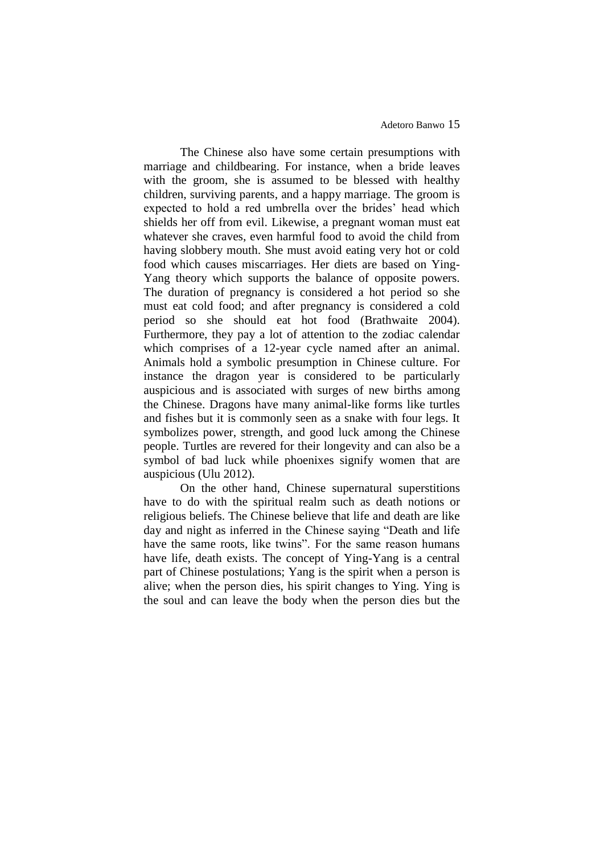The Chinese also have some certain presumptions with marriage and childbearing. For instance, when a bride leaves with the groom, she is assumed to be blessed with healthy children, surviving parents, and a happy marriage. The groom is expected to hold a red umbrella over the brides' head which shields her off from evil. Likewise, a pregnant woman must eat whatever she craves, even harmful food to avoid the child from having slobbery mouth. She must avoid eating very hot or cold food which causes miscarriages. Her diets are based on Ying-Yang theory which supports the balance of opposite powers. The duration of pregnancy is considered a hot period so she must eat cold food; and after pregnancy is considered a cold period so she should eat hot food (Brathwaite 2004). Furthermore, they pay a lot of attention to the zodiac calendar which comprises of a 12-year cycle named after an animal. Animals hold a symbolic presumption in Chinese culture. For instance the dragon year is considered to be particularly auspicious and is associated with surges of new births among the Chinese. Dragons have many animal-like forms like turtles and fishes but it is commonly seen as a snake with four legs. It symbolizes power, strength, and good luck among the Chinese people. Turtles are revered for their longevity and can also be a symbol of bad luck while phoenixes signify women that are auspicious (Ulu 2012).

On the other hand, Chinese supernatural superstitions have to do with the spiritual realm such as death notions or religious beliefs. The Chinese believe that life and death are like day and night as inferred in the Chinese saying "Death and life have the same roots, like twins". For the same reason humans have life, death exists. The concept of Ying-Yang is a central part of Chinese postulations; Yang is the spirit when a person is alive; when the person dies, his spirit changes to Ying. Ying is the soul and can leave the body when the person dies but the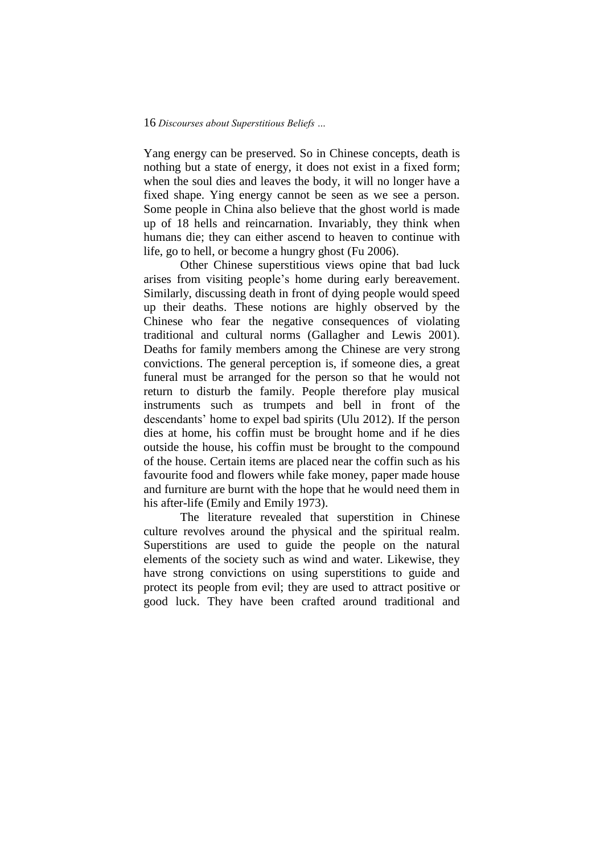Yang energy can be preserved. So in Chinese concepts, death is nothing but a state of energy, it does not exist in a fixed form; when the soul dies and leaves the body, it will no longer have a fixed shape. Ying energy cannot be seen as we see a person. Some people in China also believe that the ghost world is made up of 18 hells and reincarnation. Invariably, they think when humans die; they can either ascend to heaven to continue with life, go to hell, or become a hungry ghost (Fu 2006).

Other Chinese superstitious views opine that bad luck arises from visiting people's home during early bereavement. Similarly, discussing death in front of dying people would speed up their deaths. These notions are highly observed by the Chinese who fear the negative consequences of violating traditional and cultural norms (Gallagher and Lewis 2001). Deaths for family members among the Chinese are very strong convictions. The general perception is, if someone dies, a great funeral must be arranged for the person so that he would not return to disturb the family. People therefore play musical instruments such as trumpets and bell in front of the descendants' home to expel bad spirits (Ulu 2012). If the person dies at home, his coffin must be brought home and if he dies outside the house, his coffin must be brought to the compound of the house. Certain items are placed near the coffin such as his favourite food and flowers while fake money, paper made house and furniture are burnt with the hope that he would need them in his after-life (Emily and Emily 1973).

The literature revealed that superstition in Chinese culture revolves around the physical and the spiritual realm. Superstitions are used to guide the people on the natural elements of the society such as wind and water. Likewise, they have strong convictions on using superstitions to guide and protect its people from evil; they are used to attract positive or good luck. They have been crafted around traditional and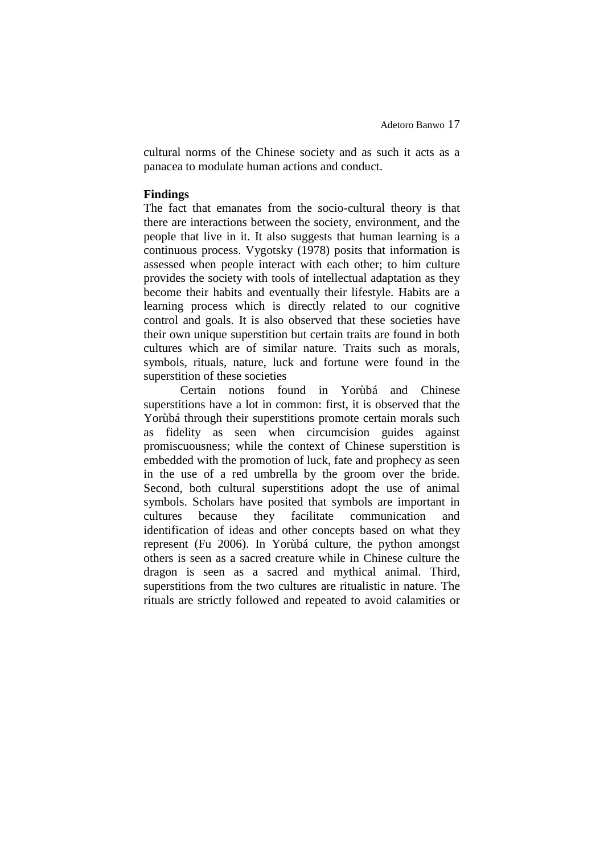cultural norms of the Chinese society and as such it acts as a panacea to modulate human actions and conduct.

# **Findings**

The fact that emanates from the socio-cultural theory is that there are interactions between the society, environment, and the people that live in it. It also suggests that human learning is a continuous process. Vygotsky (1978) posits that information is assessed when people interact with each other; to him culture provides the society with tools of intellectual adaptation as they become their habits and eventually their lifestyle. Habits are a learning process which is directly related to our cognitive control and goals. It is also observed that these societies have their own unique superstition but certain traits are found in both cultures which are of similar nature. Traits such as morals, symbols, rituals, nature, luck and fortune were found in the superstition of these societies

Certain notions found in Yorùbá and Chinese superstitions have a lot in common: first, it is observed that the Yorùbá through their superstitions promote certain morals such as fidelity as seen when circumcision guides against promiscuousness; while the context of Chinese superstition is embedded with the promotion of luck, fate and prophecy as seen in the use of a red umbrella by the groom over the bride. Second, both cultural superstitions adopt the use of animal symbols. Scholars have posited that symbols are important in cultures because they facilitate communication and identification of ideas and other concepts based on what they represent (Fu 2006). In Yorùbá culture, the python amongst others is seen as a sacred creature while in Chinese culture the dragon is seen as a sacred and mythical animal. Third, superstitions from the two cultures are ritualistic in nature. The rituals are strictly followed and repeated to avoid calamities or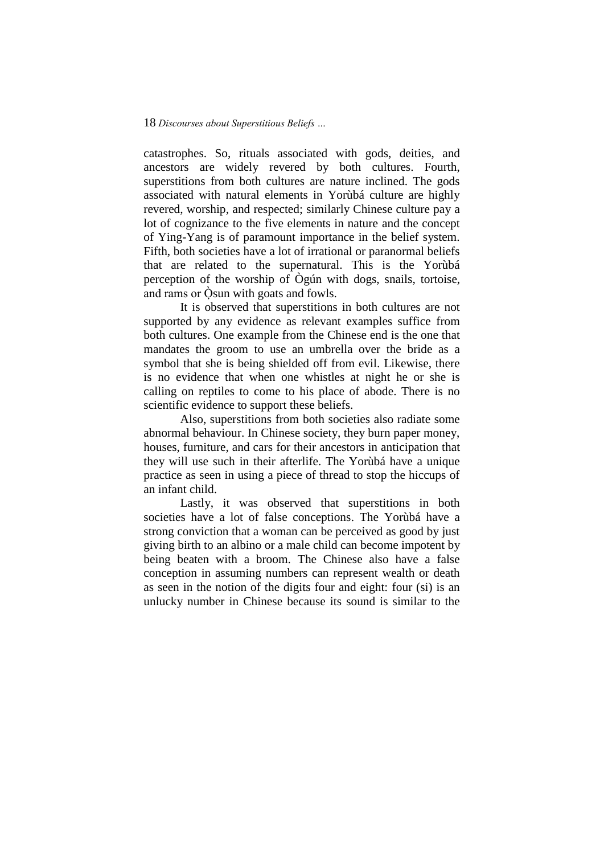catastrophes. So, rituals associated with gods, deities, and ancestors are widely revered by both cultures. Fourth, superstitions from both cultures are nature inclined. The gods associated with natural elements in Yorùbá culture are highly revered, worship, and respected; similarly Chinese culture pay a lot of cognizance to the five elements in nature and the concept of Ying-Yang is of paramount importance in the belief system. Fifth, both societies have a lot of irrational or paranormal beliefs that are related to the supernatural. This is the Yorùbá perception of the worship of Ògún with dogs, snails, tortoise, and rams or  $\dot{O}$ sun with goats and fowls.

It is observed that superstitions in both cultures are not supported by any evidence as relevant examples suffice from both cultures. One example from the Chinese end is the one that mandates the groom to use an umbrella over the bride as a symbol that she is being shielded off from evil. Likewise, there is no evidence that when one whistles at night he or she is calling on reptiles to come to his place of abode. There is no scientific evidence to support these beliefs.

Also, superstitions from both societies also radiate some abnormal behaviour. In Chinese society, they burn paper money, houses, furniture, and cars for their ancestors in anticipation that they will use such in their afterlife. The Yorùbá have a unique practice as seen in using a piece of thread to stop the hiccups of an infant child.

Lastly, it was observed that superstitions in both societies have a lot of false conceptions. The Yorùbá have a strong conviction that a woman can be perceived as good by just giving birth to an albino or a male child can become impotent by being beaten with a broom. The Chinese also have a false conception in assuming numbers can represent wealth or death as seen in the notion of the digits four and eight: four (si) is an unlucky number in Chinese because its sound is similar to the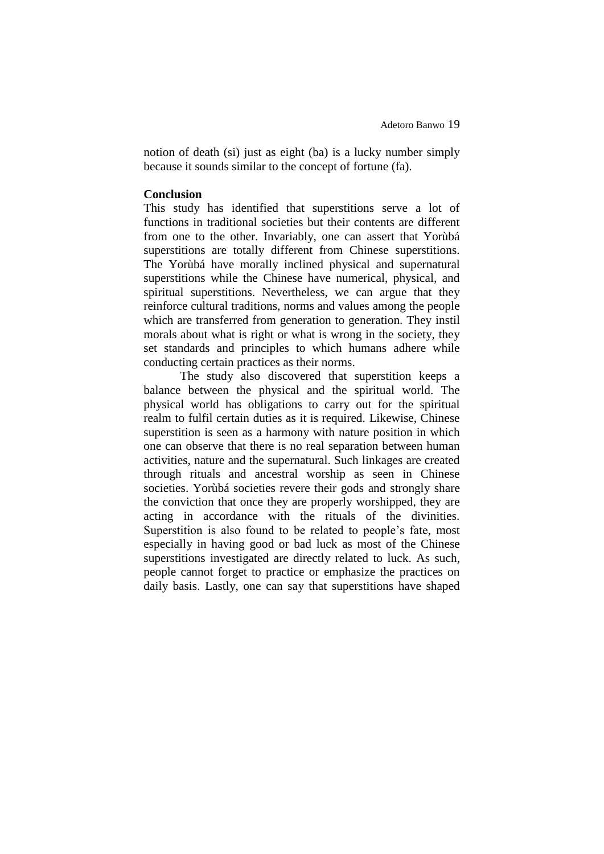notion of death (si) just as eight (ba) is a lucky number simply because it sounds similar to the concept of fortune (fa).

## **Conclusion**

This study has identified that superstitions serve a lot of functions in traditional societies but their contents are different from one to the other. Invariably, one can assert that Yorùbá superstitions are totally different from Chinese superstitions. The Yorùbá have morally inclined physical and supernatural superstitions while the Chinese have numerical, physical, and spiritual superstitions. Nevertheless, we can argue that they reinforce cultural traditions, norms and values among the people which are transferred from generation to generation. They instil morals about what is right or what is wrong in the society, they set standards and principles to which humans adhere while conducting certain practices as their norms.

The study also discovered that superstition keeps a balance between the physical and the spiritual world. The physical world has obligations to carry out for the spiritual realm to fulfil certain duties as it is required. Likewise, Chinese superstition is seen as a harmony with nature position in which one can observe that there is no real separation between human activities, nature and the supernatural. Such linkages are created through rituals and ancestral worship as seen in Chinese societies. Yorùbá societies revere their gods and strongly share the conviction that once they are properly worshipped, they are acting in accordance with the rituals of the divinities. Superstition is also found to be related to people's fate, most especially in having good or bad luck as most of the Chinese superstitions investigated are directly related to luck. As such, people cannot forget to practice or emphasize the practices on daily basis. Lastly, one can say that superstitions have shaped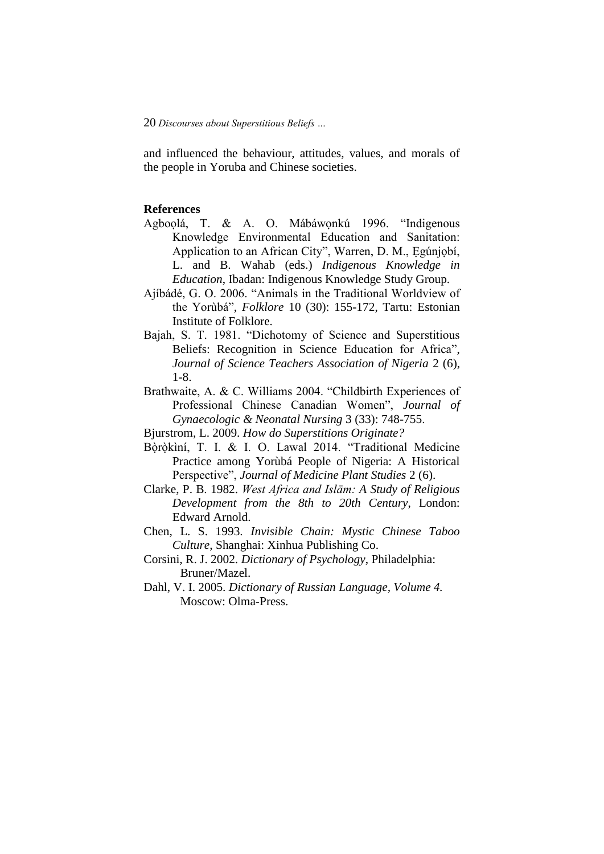and influenced the behaviour, attitudes, values, and morals of the people in Yoruba and Chinese societies.

### **References**

- Agboọlá, T. & A. O. Mábáwọnkú 1996. "Indigenous Knowledge Environmental Education and Sanitation: Application to an African City", Warren, D. M., Ẹgúnjọbí, L. and B. Wahab (eds.) *Indigenous Knowledge in Education*, Ibadan: Indigenous Knowledge Study Group.
- Ajíbádé, G. O. 2006. "Animals in the Traditional Worldview of the Yorùbá", *Folklore* 10 (30): 155-172, Tartu: Estonian Institute of Folklore.
- Bajah, S. T. 1981. "Dichotomy of Science and Superstitious Beliefs: Recognition in Science Education for Africa", *Journal of Science Teachers Association of Nigeria* 2 (6), 1-8.
- Brathwaite, A. & C. Williams 2004. "Childbirth Experiences of Professional Chinese Canadian Women", *Journal of Gynaecologic & Neonatal Nursing* 3 (33): 748-755.
- Bjurstrom, L. 2009. *How do Superstitions Originate?*
- Bòròkìní, T. I. & I. O. Lawal 2014. "Traditional Medicine Practice among Yorùbá People of Nigeria: A Historical Perspective", *Journal of Medicine Plant Studies* 2 (6).
- Clarke, P. B. 1982. *West Africa and Islām: A Study of Religious Development from the 8th to 20th Century*, London: Edward Arnold.
- Chen, L. S. 1993. *Invisible Chain: Mystic Chinese Taboo Culture*, Shanghai: Xinhua Publishing Co.
- Corsini, R. J. 2002. *Dictionary of Psychology*, Philadelphia: Bruner/Mazel.
- Dahl, V. I. 2005. *Dictionary of Russian Language, Volume 4.* Moscow: Olma-Press.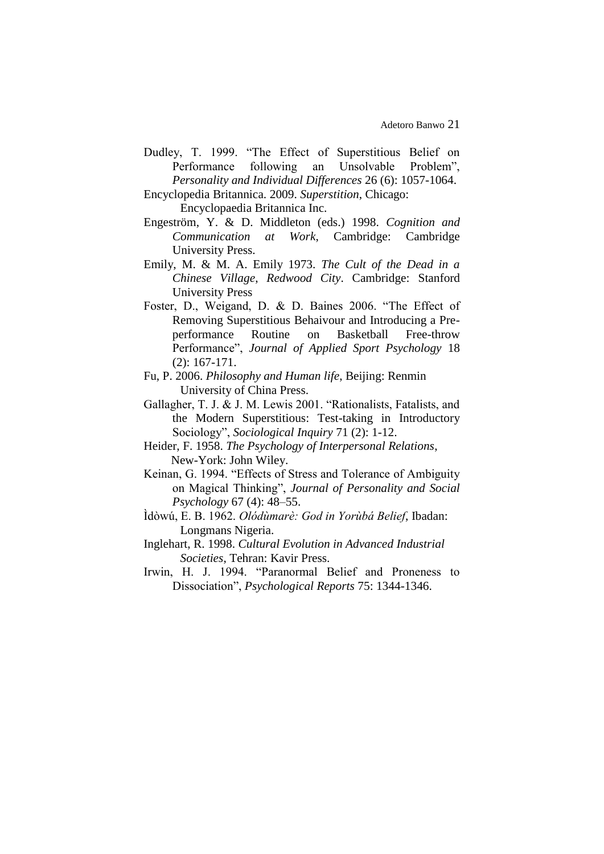- Dudley, T. 1999. "The Effect of Superstitious Belief on Performance following an Unsolvable Problem", *Personality and Individual Differences* 26 (6): 1057-1064.
- Encyclopedia Britannica. 2009. *Superstition*, Chicago:

Encyclopaedia Britannica Inc.

- Engeström, Y. & D. Middleton (eds.) 1998. *Cognition and Communication at Work*, Cambridge: Cambridge University Press.
- Emily, M. & M. A. Emily 1973. *The Cult of the Dead in a Chinese Village*, *Redwood City*. Cambridge: Stanford University Press
- Foster, D., Weigand, D. & D. Baines 2006. "The Effect of Removing Superstitious Behaivour and Introducing a Preperformance Routine on Basketball Free-throw Performance", *Journal of Applied Sport Psychology* 18 (2): 167-171.
- Fu, P. 2006. *Philosophy and Human life*, Beijing: Renmin University of China Press.
- Gallagher, T. J. & J. M. Lewis 2001. "Rationalists, Fatalists, and the Modern Superstitious: Test-taking in Introductory Sociology", *Sociological Inquiry* 71 (2): 1-12.
- Heider, F. 1958. *The Psychology of Interpersonal Relations*, New-York: John Wiley.
- Keinan, G. 1994. "Effects of Stress and Tolerance of Ambiguity on Magical Thinking", *Journal of Personality and Social Psychology* 67 (4): 48–55.
- Ìdòwú, E. B. 1962. *Olódùmarè: God in Yorùbá Belief*, Ibadan: Longmans Nigeria.
- Inglehart, R. 1998. *Cultural Evolution in Advanced Industrial Societies*, Tehran: Kavir Press.
- Irwin, H. J. 1994. "Paranormal Belief and Proneness to Dissociation", *Psychological Reports* 75: 1344-1346.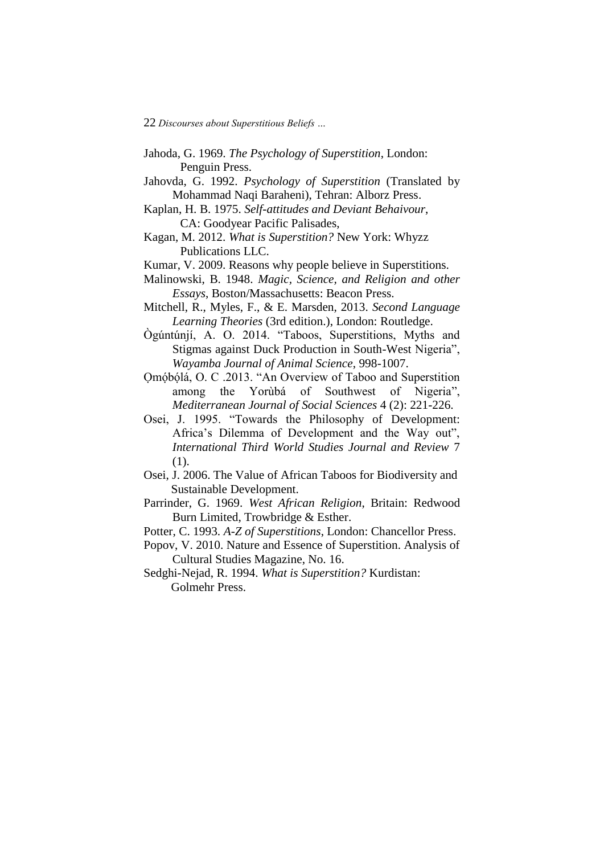- Jahoda, G. 1969. *The Psychology of Superstition*, London: Penguin Press.
- Jahovda, G. 1992. *Psychology of Superstition* (Translated by Mohammad Naqi Baraheni), Tehran: Alborz Press.
- Kaplan, H. B. 1975. *Self-attitudes and Deviant Behaivour*, CA: Goodyear Pacific Palisades,
- Kagan, M. 2012. *What is Superstition?* New York: Whyzz Publications LLC.
- Kumar, V. 2009. Reasons why people believe in Superstitions.
- Malinowski, B. 1948. *Magic, Science, and Religion and other Essays*, Boston/Massachusetts: Beacon Press.
- Mitchell, R., Myles, F., & E. Marsden, 2013. *Second Language Learning Theories* (3rd edition.), London: Routledge.
- Ògúntúnjí, A. O. 2014. "Taboos, Superstitions, Myths and Stigmas against Duck Production in South-West Nigeria", *Wayamba Journal of Animal Science*, 998-1007.
- Ọmóḅ́ óḷ́á, O. C .2013. "An Overview of Taboo and Superstition among the Yorùbá of Southwest of Nigeria", *Mediterranean Journal of Social Sciences* 4 (2): 221-226.
- Osei, J. 1995. "Towards the Philosophy of Development: Africa's Dilemma of Development and the Way out", *International Third World Studies Journal and Review* 7 (1).
- Osei, J. 2006. The Value of African Taboos for Biodiversity and Sustainable Development.
- Parrinder, G. 1969. *West African Religion*, Britain: Redwood Burn Limited, Trowbridge & Esther.
- Potter, C. 1993. *A-Z of Superstitions*, London: Chancellor Press.
- Popov, V. 2010. Nature and Essence of Superstition. Analysis of Cultural Studies Magazine, No. 16.
- Sedghi-Nejad, R. 1994. *What is Superstition?* Kurdistan: Golmehr Press.